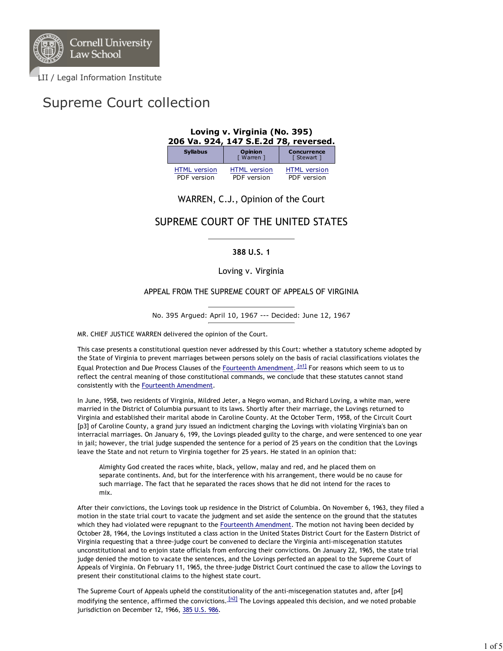

LII / Legal Information Institute

## Supreme Court collection

## **Loving v. Virginia (No. 395) 206 Va. 924, 147 S.E.2d 78, reversed. Syllabus Opinion** [ Warron ] **Concurrence** [ Stewart ]

| <b>HTML</b> version<br>PDF version | <b>HTML</b> version<br>PDF version | <b>HTML</b> version<br>PDF version |  |
|------------------------------------|------------------------------------|------------------------------------|--|

WARREN, C.J., Opinion of the Court

## SUPREME COURT OF THE UNITED STATES

**388 U.S. 1**

Loving v. Virginia

## APPEAL FROM THE SUPREME COURT OF APPEALS OF VIRGINIA

No. 395 Argued: April 10, 1967 --- Decided: June 12, 1967

MR. CHIEF JUSTICE WARREN delivered the opinion of the Court.

This case presents a constitutional question never addressed by this Court: whether a statutory scheme adopted by the State of Virginia to prevent marriages between persons solely on the basis of racial classifications violates the Equal Protection and Due Process Clauses of the Fourteenth Amendment. <sup>[n1]</sup> For reasons which seem to us to reflect the central meaning of those constitutional commands, we conclude that these statutes cannot stand consistently with the Fourteenth Amendment.

In June, 1958, two residents of Virginia, Mildred Jeter, a Negro woman, and Richard Loving, a white man, were married in the District of Columbia pursuant to its laws. Shortly after their marriage, the Lovings returned to Virginia and established their marital abode in Caroline County. At the October Term, 1958, of the Circuit Court [p3] of Caroline County, a grand jury issued an indictment charging the Lovings with violating Virginia's ban on interracial marriages. On January 6, 199, the Lovings pleaded guilty to the charge, and were sentenced to one year in jail; however, the trial judge suspended the sentence for a period of 25 years on the condition that the Lovings leave the State and not return to Virginia together for 25 years. He stated in an opinion that:

Almighty God created the races white, black, yellow, malay and red, and he placed them on separate continents. And, but for the interference with his arrangement, there would be no cause for such marriage. The fact that he separated the races shows that he did not intend for the races to mix.

After their convictions, the Lovings took up residence in the District of Columbia. On November 6, 1963, they filed a motion in the state trial court to vacate the judgment and set aside the sentence on the ground that the statutes which they had violated were repugnant to the Fourteenth Amendment. The motion not having been decided by October 28, 1964, the Lovings instituted a class action in the United States District Court for the Eastern District of Virginia requesting that a three-judge court be convened to declare the Virginia anti-miscegenation statutes unconstitutional and to enjoin state officials from enforcing their convictions. On January 22, 1965, the state trial judge denied the motion to vacate the sentences, and the Lovings perfected an appeal to the Supreme Court of Appeals of Virginia. On February 11, 1965, the three-judge District Court continued the case to allow the Lovings to present their constitutional claims to the highest state court.

The Supreme Court of Appeals upheld the constitutionality of the anti-miscegenation statutes and, after [p4] modifying the sentence, affirmed the convictions. <sup>In2]</sup> The Lovings appealed this decision, and we noted probable jurisdiction on December 12, 1966, 385 U.S. 986.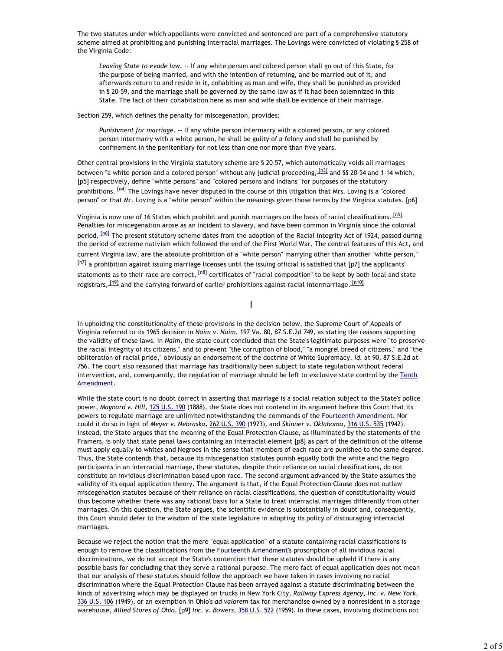The two statutes under which appellants were convicted and sentenced are part of a comprehensive statutory scheme aimed at prohibiting and punishing interracial marriages. The Lovings were convicted of violating § 258 of the Virginia Code:

*Leaving State to evade law.* -- If any white person and colored person shall go out of this State, for the purpose of being married, and with the intention of returning, and be married out of it, and afterwards return to and reside in it, cohabiting as man and wife, they shall be punished as provided in § 20-59, and the marriage shall be governed by the same law as if it had been solemnized in this State. The fact of their cohabitation here as man and wife shall be evidence of their marriage.

Section 259, which defines the penalty for miscegenation, provides:

*Punishment for marriage.* -- If any white person intermarry with a colored person, or any colored person intermarry with a white person, he shall be guilty of a felony and shall be punished by confinement in the penitentiary for not less than one nor more than five years.

Other central provisions in the Virginia statutory scheme are § 20-57, which automatically voids all marriages between "a white person and a colored person" without any judicial proceeding, <sup>[n3]</sup> and §§ 20-54 and 1-14 which, [p5] respectively, define "white persons" and "colored persons and Indians" for purposes of the statutory prohibitions.  $\frac{[n4]}{]}$  The Lovings have never disputed in the course of this litigation that Mrs. Loving is a "colored" person" or that Mr. Loving is a "white person" within the meanings given those terms by the Virginia statutes. [p6]

Virginia is now one of 16 States which prohibit and punish marriages on the basis of racial classifications. In5] Penalties for miscegenation arose as an incident to slavery, and have been common in Virginia since the colonial period. <sup>[n6]</sup> The present statutory scheme dates from the adoption of the Racial Integrity Act of 1924, passed during the period of extreme nativism which followed the end of the First World War. The central features of this Act, and current Virginia law, are the absolute prohibition of a "white person" marrying other than another "white person,"  $\frac{[n7]}{2}$  a prohibition against issuing marriage licenses until the issuing official is satisfied that [p7] the applicants' statements as to their race are correct, <sup>[n8]</sup> certificates of "racial composition" to be kept by both local and state registrars, <sup>[n9]</sup> and the carrying forward of earlier prohibitions against racial intermarriage. <sup>[n10]</sup>

I

In upholding the constitutionality of these provisions in the decision below, the Supreme Court of Appeals of Virginia referred to its 1965 decision in *Naim v. Naim,* 197 Va. 80, 87 S.E.2d 749, as stating the reasons supporting the validity of these laws. In *Naim,* the state court concluded that the State's legitimate purposes were "to preserve the racial integrity of its citizens," and to prevent "the corruption of blood," "a mongrel breed of citizens," and "the obliteration of racial pride," obviously an endorsement of the doctrine of White Supremacy. *Id.* at 90, 87 S.E.2d at 756. The court also reasoned that marriage has traditionally been subject to state regulation without federal intervention, and, consequently, the regulation of marriage should be left to exclusive state control by the Tenth Amendment.

While the state court is no doubt correct in asserting that marriage is a social relation subject to the State's police power, *Maynard v. Hill,* 125 U.S. 190 (1888), the State does not contend in its argument before this Court that its powers to regulate marriage are unlimited notwithstanding the commands of the Fourteenth Amendment. Nor could it do so in light of *Meyer v. Nebraska,* 262 U.S. 390 (1923), and *Skinner v. Oklahoma,* 316 U.S. 535 (1942). Instead, the State argues that the meaning of the Equal Protection Clause, as illuminated by the statements of the Framers, is only that state penal laws containing an interracial element [p8] as part of the definition of the offense must apply equally to whites and Negroes in the sense that members of each race are punished to the same degree. Thus, the State contends that, because its miscegenation statutes punish equally both the white and the Negro participants in an interracial marriage, these statutes, despite their reliance on racial classifications, do not constitute an invidious discrimination based upon race. The second argument advanced by the State assumes the validity of its equal application theory. The argument is that, if the Equal Protection Clause does not outlaw miscegenation statutes because of their reliance on racial classifications, the question of constitutionality would thus become whether there was any rational basis for a State to treat interracial marriages differently from other marriages. On this question, the State argues, the scientific evidence is substantially in doubt and, consequently, this Court should defer to the wisdom of the state legislature in adopting its policy of discouraging interracial marriages.

Because we reject the notion that the mere "equal application" of a statute containing racial classifications is enough to remove the classifications from the Fourteenth Amendment's proscription of all invidious racial discriminations, we do not accept the State's contention that these statutes should be upheld if there is any possible basis for concluding that they serve a rational purpose. The mere fact of equal application does not mean that our analysis of these statutes should follow the approach we have taken in cases involving no racial discrimination where the Equal Protection Clause has been arrayed against a statute discriminating between the kinds of advertising which may be displayed on trucks in New York City, *Railway Express Agency, Inc. v. New York,* 336 U.S. 106 (1949), or an exemption in Ohio's *ad valorem* tax for merchandise owned by a nonresident in a storage warehouse, *Allied Stores of Ohio,* [p9] *Inc. v. Bowers,* 358 U.S. 522 (1959). In these cases, involving distinctions not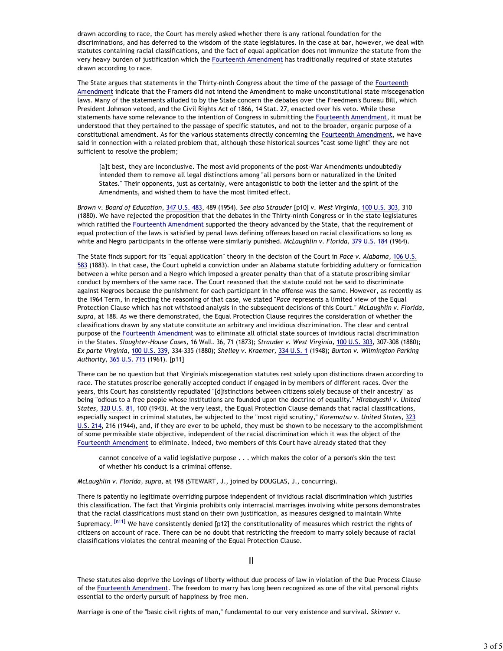drawn according to race, the Court has merely asked whether there is any rational foundation for the discriminations, and has deferred to the wisdom of the state legislatures. In the case at bar, however, we deal with statutes containing racial classifications, and the fact of equal application does not immunize the statute from the very heavy burden of justification which the Fourteenth Amendment has traditionally required of state statutes drawn according to race.

The State argues that statements in the Thirty-ninth Congress about the time of the passage of the Fourteenth Amendment indicate that the Framers did not intend the Amendment to make unconstitutional state miscegenation laws. Many of the statements alluded to by the State concern the debates over the Freedmen's Bureau Bill, which President Johnson vetoed, and the Civil Rights Act of 1866, 14 Stat. 27, enacted over his veto. While these statements have some relevance to the intention of Congress in submitting the Fourteenth Amendment, it must be understood that they pertained to the passage of specific statutes, and not to the broader, organic purpose of a constitutional amendment. As for the various statements directly concerning the Fourteenth Amendment, we have said in connection with a related problem that, although these historical sources "cast some light" they are not sufficient to resolve the problem;

[a]t best, they are inconclusive. The most avid proponents of the post-War Amendments undoubtedly intended them to remove all legal distinctions among "all persons born or naturalized in the United States." Their opponents, just as certainly, were antagonistic to both the letter and the spirit of the Amendments, and wished them to have the most limited effect.

*Brown v. Board of Education,* 347 U.S. 483, 489 (1954). *See also Strauder* [p10] *v. West Virginia,* 100 U.S. 303, 310 (1880). We have rejected the proposition that the debates in the Thirty-ninth Congress or in the state legislatures which ratified the Fourteenth Amendment supported the theory advanced by the State, that the requirement of equal protection of the laws is satisfied by penal laws defining offenses based on racial classifications so long as white and Negro participants in the offense were similarly punished. *McLaughlin v. Florida,* 379 U.S. 184 (1964).

The State finds support for its "equal application" theory in the decision of the Court in *Pace v. Alabama,* 106 U.S. 583 (1883). In that case, the Court upheld a conviction under an Alabama statute forbidding adultery or fornication between a white person and a Negro which imposed a greater penalty than that of a statute proscribing similar conduct by members of the same race. The Court reasoned that the statute could not be said to discriminate against Negroes because the punishment for each participant in the offense was the same. However, as recently as the 1964 Term, in rejecting the reasoning of that case, we stated "*Pace* represents a limited view of the Equal Protection Clause which has not withstood analysis in the subsequent decisions of this Court." *McLaughlin v. Florida, supra,* at 188. As we there demonstrated, the Equal Protection Clause requires the consideration of whether the classifications drawn by any statute constitute an arbitrary and invidious discrimination. The clear and central purpose of the Fourteenth Amendment was to eliminate all official state sources of invidious racial discrimination in the States. *Slaughter-House Cases,* 16 Wall. 36, 71 (1873); *Strauder v. West Virginia,* 100 U.S. 303, 307-308 (1880); *Ex parte Virginia,* 100 U.S. 339, 334-335 (1880); *Shelley v. Kraemer,* 334 U.S. 1 (1948); *Burton v. Wilmington Parking Authority,* 365 U.S. 715 (1961). [p11]

There can be no question but that Virginia's miscegenation statutes rest solely upon distinctions drawn according to race. The statutes proscribe generally accepted conduct if engaged in by members of different races. Over the years, this Court has consistently repudiated "[d]istinctions between citizens solely because of their ancestry" as being "odious to a free people whose institutions are founded upon the doctrine of equality." *Hirabayashi v. United States,* 320 U.S. 81, 100 (1943). At the very least, the Equal Protection Clause demands that racial classifications, especially suspect in criminal statutes, be subjected to the "most rigid scrutiny," *Korematsu v. United States,* 323 U.S. 214, 216 (1944), and, if they are ever to be upheld, they must be shown to be necessary to the accomplishment of some permissible state objective, independent of the racial discrimination which it was the object of the Fourteenth Amendment to eliminate. Indeed, two members of this Court have already stated that they

cannot conceive of a valid legislative purpose . . . which makes the color of a person's skin the test of whether his conduct is a criminal offense.

*McLaughlin v. Florida, supra,* at 198 (STEWART, J., joined by DOUGLAS, J., concurring).

There is patently no legitimate overriding purpose independent of invidious racial discrimination which justifies this classification. The fact that Virginia prohibits only interracial marriages involving white persons demonstrates that the racial classifications must stand on their own justification, as measures designed to maintain White Supremacy.  $\frac{[n11]}{]}$  We have consistently denied [p12] the constitutionality of measures which restrict the rights of citizens on account of race. There can be no doubt that restricting the freedom to marry solely because of racial classifications violates the central meaning of the Equal Protection Clause.

II

These statutes also deprive the Lovings of liberty without due process of law in violation of the Due Process Clause of the Fourteenth Amendment. The freedom to marry has long been recognized as one of the vital personal rights essential to the orderly pursuit of happiness by free men.

Marriage is one of the "basic civil rights of man," fundamental to our very existence and survival. *Skinner v.*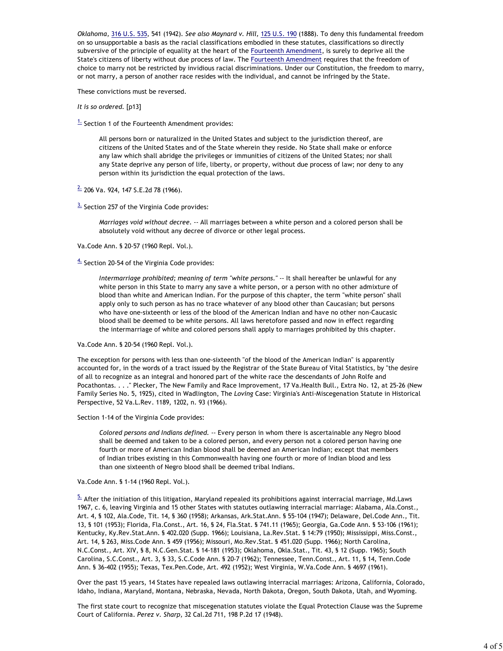*Oklahoma,* 316 U.S. 535, 541 (1942). *See also Maynard v. Hill,* 125 U.S. 190 (1888). To deny this fundamental freedom on so unsupportable a basis as the racial classifications embodied in these statutes, classifications so directly subversive of the principle of equality at the heart of the Fourteenth Amendment, is surely to deprive all the State's citizens of liberty without due process of law. The Fourteenth Amendment requires that the freedom of choice to marry not be restricted by invidious racial discriminations. Under our Constitution, the freedom to marry, or not marry, a person of another race resides with the individual, and cannot be infringed by the State.

These convictions must be reversed.

*It is so ordered.* [p13]

 $\frac{1}{2}$  Section 1 of the Fourteenth Amendment provides:

All persons born or naturalized in the United States and subject to the jurisdiction thereof, are citizens of the United States and of the State wherein they reside. No State shall make or enforce any law which shall abridge the privileges or immunities of citizens of the United States; nor shall any State deprive any person of life, liberty, or property, without due process of law; nor deny to any person within its jurisdiction the equal protection of the laws.

 $\frac{2}{1}$  206 Va. 924, 147 S.E.2d 78 (1966).

 $\frac{3}{2}$  Section 257 of the Virginia Code provides:

*Marriages void without decree.* -- All marriages between a white person and a colored person shall be absolutely void without any decree of divorce or other legal process.

Va.Code Ann. § 20-57 (1960 Repl. Vol.).

 $\frac{4}{1}$  Section 20-54 of the Virginia Code provides:

*Intermarriage prohibited; meaning of term "white persons."* -- It shall hereafter be unlawful for any white person in this State to marry any save a white person, or a person with no other admixture of blood than white and American Indian. For the purpose of this chapter, the term "white person" shall apply only to such person as has no trace whatever of any blood other than Caucasian; but persons who have one-sixteenth or less of the blood of the American Indian and have no other non-Caucasic blood shall be deemed to be white persons. All laws heretofore passed and now in effect regarding the intermarriage of white and colored persons shall apply to marriages prohibited by this chapter.

Va.Code Ann. § 20-54 (1960 Repl. Vol.).

The exception for persons with less than one-sixteenth "of the blood of the American Indian" is apparently accounted for, in the words of a tract issued by the Registrar of the State Bureau of Vital Statistics, by "the desire of all to recognize as an integral and honored part of the white race the descendants of John Rolfe and Pocathontas. . . ." Plecker, The New Family and Race Improvement, 17 Va.Health Bull., Extra No. 12, at 25-26 (New Family Series No. 5, 1925), cited in Wadlington, The *Loving* Case: Virginia's Anti-Miscegenation Statute in Historical Perspective, 52 Va.L.Rev. 1189, 1202, n. 93 (1966).

Section 1-14 of the Virginia Code provides:

*Colored persons and Indians defined.* -- Every person in whom there is ascertainable any Negro blood shall be deemed and taken to be a colored person, and every person not a colored person having one fourth or more of American Indian blood shall be deemed an American Indian; except that members of Indian tribes existing in this Commonwealth having one fourth or more of Indian blood and less than one sixteenth of Negro blood shall be deemed tribal Indians.

Va.Code Ann. § 1-14 (1960 Repl. Vol.).

 $5.$  After the initiation of this litigation, Maryland repealed its prohibitions against interracial marriage, Md.Laws 1967, c. 6, leaving Virginia and 15 other States with statutes outlawing interracial marriage: Alabama, Ala.Const., Art. 4, § 102, Ala.Code, Tit. 14, § 360 (1958); Arkansas, Ark.Stat.Ann. § 55-104 (1947); Delaware, Del.Code Ann., Tit. 13, § 101 (1953); Florida, Fla.Const., Art. 16, § 24, Fla.Stat. § 741.11 (1965); Georgia, Ga.Code Ann. § 53-106 (1961); Kentucky, Ky.Rev.Stat.Ann. § 402.020 (Supp. 1966); Louisiana, La.Rev.Stat. § 14:79 (1950); Mississippi, Miss.Const., Art. 14, § 263, Miss.Code Ann. § 459 (1956); Missouri, Mo.Rev.Stat. § 451.020 (Supp. 1966); North Carolina, N.C.Const., Art. XIV, § 8, N.C.Gen.Stat. § 14-181 (1953); Oklahoma, Okla.Stat., Tit. 43, § 12 (Supp. 1965); South Carolina, S.C.Const., Art. 3, § 33, S.C.Code Ann. § 20-7 (1962); Tennessee, Tenn.Const., Art. 11, § 14, Tenn.Code Ann. § 36-402 (1955); Texas, Tex.Pen.Code, Art. 492 (1952); West Virginia, W.Va.Code Ann. § 4697 (1961).

Over the past 15 years, 14 States have repealed laws outlawing interracial marriages: Arizona, California, Colorado, Idaho, Indiana, Maryland, Montana, Nebraska, Nevada, North Dakota, Oregon, South Dakota, Utah, and Wyoming.

The first state court to recognize that miscegenation statutes violate the Equal Protection Clause was the Supreme Court of California. *Perez v. Sharp,* 32 Cal.2d 711, 198 P.2d 17 (1948).